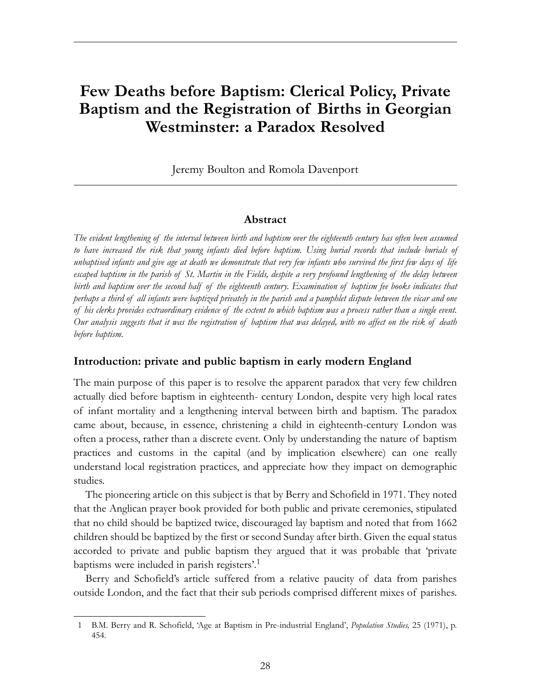# **Few Deaths before Baptism: Clerical Policy, Private Baptism and the Registration of Births in Georgian Westminster: a Paradox Resolved**

Jeremy Boulton and Romola Davenport

#### **Abstract**

*The evident lengthening of the interval between birth and baptism over the eighteenth century has often been assumed to have increased the risk that young infants died before baptism. Using burial records that include burials of unbaptised infants and give age at death we demonstrate that very few infants who survived the first few days of life escaped baptism in the parish of St. Martin in the Fields, despite a very profound lengthening of the delay between birth and baptism over the second half of the eighteenth century. Examination of baptism fee books indicates that perhaps a third of all infants were baptized privately in the parish and a pamphlet dispute between the vicar and one of his clerks provides extraordinary evidence of the extent to which baptism was a process rather than a single event. Our analysis suggests that it was the registration of baptism that was delayed, with no affect on the risk of death before baptism.*

#### **Introduction: private and public baptism in early modern England**

The main purpose of this paper is to resolve the apparent paradox that very few children actually died before baptism in eighteenth- century London, despite very high local rates of infant mortality and a lengthening interval between birth and baptism. The paradox came about, because, in essence, christening a child in eighteenth-century London was often a process, rather than a discrete event. Only by understanding the nature of baptism practices and customs in the capital (and by implication elsewhere) can one really understand local registration practices, and appreciate how they impact on demographic studies.

The pioneering article on this subject is that by Berry and Schofield in 1971. They noted that the Anglican prayer book provided for both public and private ceremonies, stipulated that no child should be baptized twice, discouraged lay baptism and noted that from 1662 children should be baptized by the first or second Sunday after birth. Given the equal status accorded to private and public baptism they argued that it was probable that 'private baptisms were included in parish registers'.<sup>1</sup>

Berry and Schofield's article suffered from a relative paucity of data from parishes outside London, and the fact that their sub periods comprised different mixes of parishes.

<sup>1</sup> B.M. Berry and R. Schofield, 'Age at Baptism in Pre-industrial England', *Population Studies,* 25 (1971), p. 454.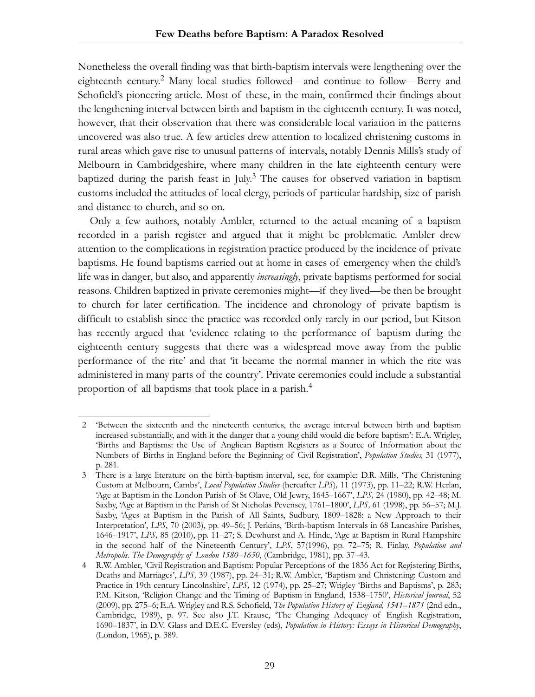Nonetheless the overall finding was that birth-baptism intervals were lengthening over the eighteenth century.<sup>2</sup> Many local studies followed—and continue to follow—Berry and Schofield's pioneering article. Most of these, in the main, confirmed their findings about the lengthening interval between birth and baptism in the eighteenth century. It was noted, however, that their observation that there was considerable local variation in the patterns uncovered was also true. A few articles drew attention to localized christening customs in rural areas which gave rise to unusual patterns of intervals, notably Dennis Mills's study of Melbourn in Cambridgeshire, where many children in the late eighteenth century were baptized during the parish feast in July.<sup>3</sup> The causes for observed variation in baptism customs included the attitudes of local clergy, periods of particular hardship, size of parish and distance to church, and so on.

Only a few authors, notably Ambler, returned to the actual meaning of a baptism recorded in a parish register and argued that it might be problematic. Ambler drew attention to the complications in registration practice produced by the incidence of private baptisms. He found baptisms carried out at home in cases of emergency when the child's life was in danger, but also, and apparently *increasingly*, private baptisms performed for social reasons. Children baptized in private ceremonies might—if they lived—be then be brought to church for later certification. The incidence and chronology of private baptism is difficult to establish since the practice was recorded only rarely in our period, but Kitson has recently argued that 'evidence relating to the performance of baptism during the eighteenth century suggests that there was a widespread move away from the public performance of the rite' and that 'it became the normal manner in which the rite was administered in many parts of the country'. Private ceremonies could include a substantial proportion of all baptisms that took place in a parish.<sup>4</sup>

<sup>2 &#</sup>x27;Between the sixteenth and the nineteenth centuries, the average interval between birth and baptism increased substantially, and with it the danger that a young child would die before baptism': E.A. Wrigley, 'Births and Baptisms: the Use of Anglican Baptism Registers as a Source of Information about the Numbers of Births in England before the Beginning of Civil Registration', *Population Studies,* 31 (1977), p. 281.

<sup>3</sup> There is a large literature on the birth-baptism interval, see, for example: D.R. Mills, 'The Christening Custom at Melbourn, Cambs', *Local Population Studies* (hereafter *LPS*)*,* 11 (1973), pp. 11–22; R.W. Herlan, 'Age at Baptism in the London Parish of St Olave, Old Jewry, 1645–1667', *LPS,* 24 (1980), pp. 42–48; M. Saxby, 'Age at Baptism in the Parish of St Nicholas Pevensey, 1761–1800', *LPS,* 61 (1998), pp. 56–57; M.J. Saxby, 'Ages at Baptism in the Parish of All Saints, Sudbury, 1809–1828: a New Approach to their Interpretation', *LPS*, 70 (2003), pp. 49–56; J. Perkins, 'Birth-baptism Intervals in 68 Lancashire Parishes, 1646–1917', *LPS,* 85 (2010), pp. 11–27; S. Dewhurst and A. Hinde, 'Age at Baptism in Rural Hampshire in the second half of the Nineteenth Century', *LPS*, 57(1996), pp. 72–75; R. Finlay, *Population and Metropolis. The Demography of London 1580–1650*, (Cambridge, 1981), pp. 37–43.

<sup>4</sup> R.W. Ambler, 'Civil Registration and Baptism: Popular Perceptions of the 1836 Act for Registering Births, Deaths and Marriages', *LPS,* 39 (1987), pp. 24–31; R.W. Ambler, 'Baptism and Christening: Custom and Practice in 19th century Lincolnshire', *LPS,* 12 (1974), pp. 25–27; Wrigley 'Births and Baptisms', p. 283; P.M. Kitson, 'Religion Change and the Timing of Baptism in England, 1538–1750', *Historical Journal*, 52 (2009), pp. 275–6; E.A. Wrigley and R.S. Schofield, *The Population History of England, 1541–1871* (2nd edn., Cambridge, 1989), p. 97. See also J.T. Krause, 'The Changing Adequacy of English Registration, 1690–1837', in D.V. Glass and D.E.C. Eversley (eds), *Population in History: Essays in Historical Demography*, (London, 1965), p. 389.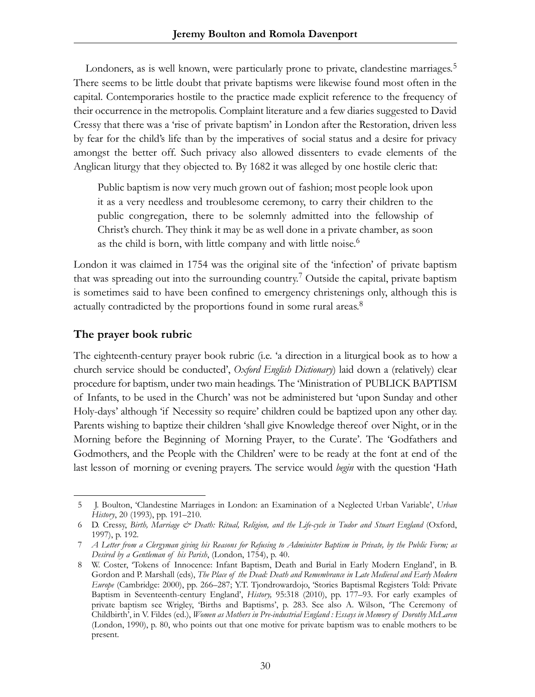Londoners, as is well known, were particularly prone to private, clandestine marriages.<sup>5</sup> There seems to be little doubt that private baptisms were likewise found most often in the capital. Contemporaries hostile to the practice made explicit reference to the frequency of their occurrence in the metropolis. Complaint literature and a few diaries suggested to David Cressy that there was a 'rise of private baptism' in London after the Restoration, driven less by fear for the child's life than by the imperatives of social status and a desire for privacy amongst the better off. Such privacy also allowed dissenters to evade elements of the Anglican liturgy that they objected to. By 1682 it was alleged by one hostile cleric that:

Public baptism is now very much grown out of fashion; most people look upon it as a very needless and troublesome ceremony, to carry their children to the public congregation, there to be solemnly admitted into the fellowship of Christ's church. They think it may be as well done in a private chamber, as soon as the child is born, with little company and with little noise.<sup>6</sup>

London it was claimed in 1754 was the original site of the 'infection' of private baptism that was spreading out into the surrounding country.7 Outside the capital, private baptism is sometimes said to have been confined to emergency christenings only, although this is actually contradicted by the proportions found in some rural areas.<sup>8</sup>

### **The prayer book rubric**

The eighteenth-century prayer book rubric (i.e. 'a direction in a liturgical book as to how a church service should be conducted', *Oxford English Dictionary*) laid down a (relatively) clear procedure for baptism, under two main headings. The 'Ministration of PUBLICK BAPTISM of Infants, to be used in the Church' was not be administered but 'upon Sunday and other Holy-days' although 'if Necessity so require' children could be baptized upon any other day. Parents wishing to baptize their children 'shall give Knowledge thereof over Night, or in the Morning before the Beginning of Morning Prayer, to the Curate'. The 'Godfathers and Godmothers, and the People with the Children' were to be ready at the font at end of the last lesson of morning or evening prayers. The service would *begin* with the question 'Hath

<sup>5</sup> J. Boulton, 'Clandestine Marriages in London: an Examination of a Neglected Urban Variable', *Urban History*, 20 (1993), pp. 191–210.

<sup>6</sup> D. Cressy, *Birth, Marriage & Death: Ritual, Religion, and the Life-cycle in Tudor and Stuart England* (Oxford, 1997), p. 192.

<sup>7</sup> *A Letter from a Clergyman giving his Reasons for Refusing to Administer Baptism in Private, by the Public Form; as Desired by a Gentleman of his Parish*, (London, 1754), p. 40.

<sup>8</sup> W. Coster, 'Tokens of Innocence: Infant Baptism, Death and Burial in Early Modern England', in B. Gordon and P. Marshall (eds), *The Place of the Dead: Death and Remembrance in Late Medieval and Early Modern Europe* (Cambridge: 2000), pp. 266–287; Y.T. Tjondrowardojo, 'Stories Baptismal Registers Told: Private Baptism in Seventeenth-century England', *History,* 95:318 (2010), pp. 177–93. For early examples of private baptism see Wrigley, 'Births and Baptisms', p. 283. See also A. Wilson, 'The Ceremony of Childbirth', in V. Fildes (ed.), *Women as Mothers in Pre-industrial England : Essays in Memory of Dorothy McLaren* (London, 1990), p. 80, who points out that one motive for private baptism was to enable mothers to be present.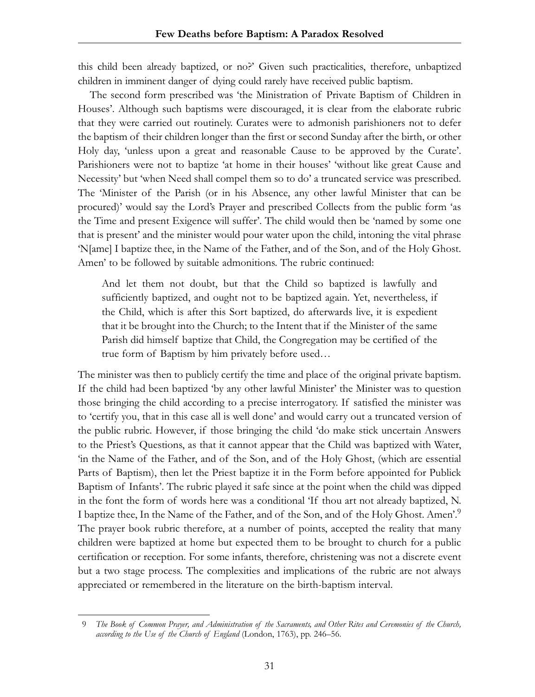this child been already baptized, or no?' Given such practicalities, therefore, unbaptized children in imminent danger of dying could rarely have received public baptism.

The second form prescribed was 'the Ministration of Private Baptism of Children in Houses'. Although such baptisms were discouraged, it is clear from the elaborate rubric that they were carried out routinely. Curates were to admonish parishioners not to defer the baptism of their children longer than the first or second Sunday after the birth, or other Holy day, 'unless upon a great and reasonable Cause to be approved by the Curate'. Parishioners were not to baptize 'at home in their houses' 'without like great Cause and Necessity' but 'when Need shall compel them so to do' a truncated service was prescribed. The 'Minister of the Parish (or in his Absence, any other lawful Minister that can be procured)' would say the Lord's Prayer and prescribed Collects from the public form 'as the Time and present Exigence will suffer'. The child would then be 'named by some one that is present' and the minister would pour water upon the child, intoning the vital phrase 'N[ame] I baptize thee, in the Name of the Father, and of the Son, and of the Holy Ghost. Amen' to be followed by suitable admonitions. The rubric continued:

And let them not doubt, but that the Child so baptized is lawfully and sufficiently baptized, and ought not to be baptized again. Yet, nevertheless, if the Child, which is after this Sort baptized, do afterwards live, it is expedient that it be brought into the Church; to the Intent that if the Minister of the same Parish did himself baptize that Child, the Congregation may be certified of the true form of Baptism by him privately before used…

The minister was then to publicly certify the time and place of the original private baptism. If the child had been baptized 'by any other lawful Minister' the Minister was to question those bringing the child according to a precise interrogatory. If satisfied the minister was to 'certify you, that in this case all is well done' and would carry out a truncated version of the public rubric. However, if those bringing the child 'do make stick uncertain Answers to the Priest's Questions, as that it cannot appear that the Child was baptized with Water, 'in the Name of the Father, and of the Son, and of the Holy Ghost, (which are essential Parts of Baptism), then let the Priest baptize it in the Form before appointed for Publick Baptism of Infants'. The rubric played it safe since at the point when the child was dipped in the font the form of words here was a conditional 'If thou art not already baptized, N. I baptize thee, In the Name of the Father, and of the Son, and of the Holy Ghost. Amen'.9 The prayer book rubric therefore, at a number of points, accepted the reality that many children were baptized at home but expected them to be brought to church for a public certification or reception. For some infants, therefore, christening was not a discrete event but a two stage process. The complexities and implications of the rubric are not always appreciated or remembered in the literature on the birth-baptism interval.

<sup>9</sup> *The Book of Common Prayer, and Administration of the Sacraments, and Other Rites and Ceremonies of the Church, according to the Use of the Church of England* (London, 1763), pp. 246–56.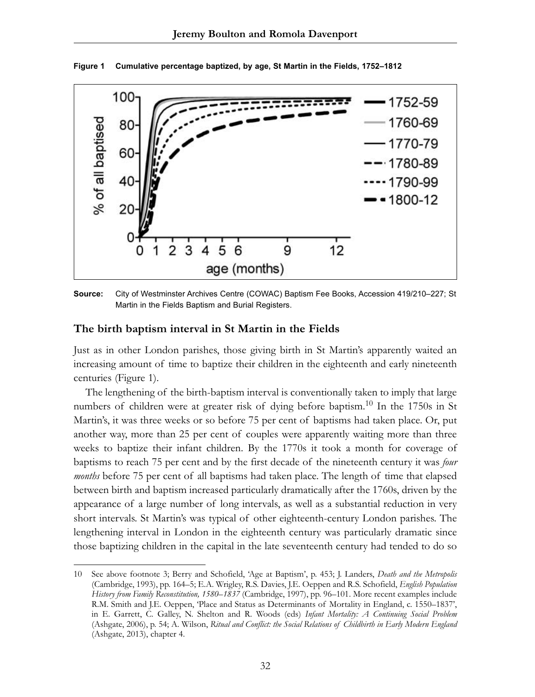

**Figure 1 Cumulative percentage baptized, by age, St Martin in the Fields, 1752–1812**

**Source:** City of Westminster Archives Centre (COWAC) Baptism Fee Books, Accession 419/210–227; St Martin in the Fields Baptism and Burial Registers.

#### **The birth baptism interval in St Martin in the Fields**

Just as in other London parishes, those giving birth in St Martin's apparently waited an increasing amount of time to baptize their children in the eighteenth and early nineteenth centuries (Figure 1).

The lengthening of the birth-baptism interval is conventionally taken to imply that large numbers of children were at greater risk of dying before baptism.<sup>10</sup> In the 1750s in St Martin's, it was three weeks or so before 75 per cent of baptisms had taken place. Or, put another way, more than 25 per cent of couples were apparently waiting more than three weeks to baptize their infant children. By the 1770s it took a month for coverage of baptisms to reach 75 per cent and by the first decade of the nineteenth century it was *four months* before 75 per cent of all baptisms had taken place. The length of time that elapsed between birth and baptism increased particularly dramatically after the 1760s, driven by the appearance of a large number of long intervals, as well as a substantial reduction in very short intervals. St Martin's was typical of other eighteenth-century London parishes. The lengthening interval in London in the eighteenth century was particularly dramatic since those baptizing children in the capital in the late seventeenth century had tended to do so

<sup>10</sup> See above footnote 3; Berry and Schofield, 'Age at Baptism', p. 453; J. Landers, *Death and the Metropolis* (Cambridge, 1993), pp. 164–5; E.A. Wrigley, R.S. Davies, J.E. Oeppen and R.S. Schofield, *English Population History from Family Reconstitution, 1580–1837* (Cambridge, 1997), pp. 96–101. More recent examples include R.M. Smith and J.E. Oeppen, 'Place and Status as Determinants of Mortality in England, c. 1550–1837', in E. Garrett, C. Galley, N. Shelton and R. Woods (eds) *Infant Mortality: A Continuing Social Problem* (Ashgate, 2006), p. 54; A. Wilson, *Ritual and Conflict: the Social Relations of Childbirth in Early Modern England* (Ashgate, 2013), chapter 4.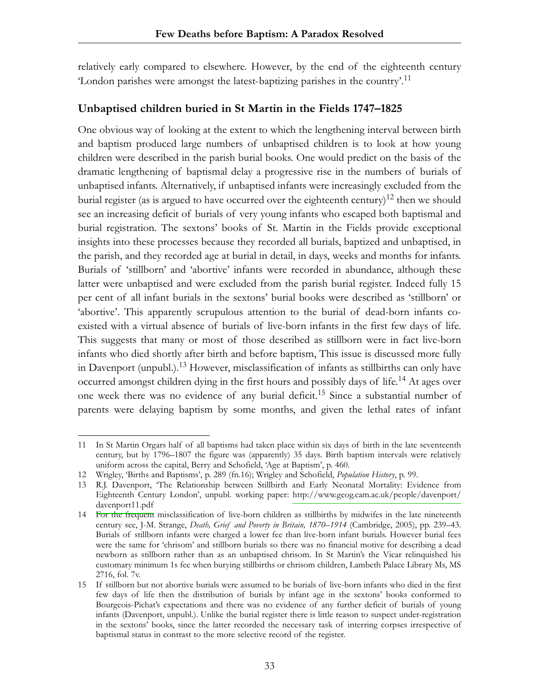relatively early compared to elsewhere. However, by the end of the eighteenth century 'London parishes were amongst the latest-baptizing parishes in the country'.11

# **Unbaptised children buried in St Martin in the Fields 1747–1825**

One obvious way of looking at the extent to which the lengthening interval between birth and baptism produced large numbers of unbaptised children is to look at how young children were described in the parish burial books. One would predict on the basis of the dramatic lengthening of baptismal delay a progressive rise in the numbers of burials of unbaptised infants. Alternatively, if unbaptised infants were increasingly excluded from the burial register (as is argued to have occurred over the eighteenth century)<sup>12</sup> then we should see an increasing deficit of burials of very young infants who escaped both baptismal and burial registration. The sextons' books of St. Martin in the Fields provide exceptional insights into these processes because they recorded all burials, baptized and unbaptised, in the parish, and they recorded age at burial in detail, in days, weeks and months for infants. Burials of 'stillborn' and 'abortive' infants were recorded in abundance, although these latter were unbaptised and were excluded from the parish burial register. Indeed fully 15 per cent of all infant burials in the sextons' burial books were described as 'stillborn' or 'abortive'. This apparently scrupulous attention to the burial of dead-born infants coexisted with a virtual absence of burials of live-born infants in the first few days of life. This suggests that many or most of those described as stillborn were in fact live-born infants who died shortly after birth and before baptism, This issue is discussed more fully in Davenport (unpubl.).<sup>13</sup> However, misclassification of infants as stillbirths can only have occurred amongst children dying in the first hours and possibly days of life.<sup>14</sup> At ages over one week there was no evidence of any burial deficit.<sup>15</sup> Since a substantial number of parents were delaying baptism by some months, and given the lethal rates of infant

<sup>11</sup> In St Martin Orgars half of all baptisms had taken place within six days of birth in the late seventeenth century, but by 1796–1807 the figure was (apparently) 35 days. Birth baptism intervals were relatively uniform across the capital, Berry and Schofield, 'Age at Baptism', p. 460.

<sup>12</sup> Wrigley, 'Births and Baptisms', p. 289 (fn.16); Wrigley and Schofield, *Population History*, p. 99.

<sup>13</sup> R.J. Davenport, 'The Relationship between Stillbirth and Early Neonatal Mortality: Evidence from Eighteenth Century London', unpubl. working paper: [http://www.geog.cam.ac.uk/people/davenport/](http://www.geog.cam.ac.uk/people/davenport/davenport11.pdf) [davenport11.pdf](http://www.geog.cam.ac.uk/people/davenport/davenport11.pdf)

<sup>14</sup> For the frequent misclassification of live-born children as stillbirths by midwifes in the late nineteenth century see, J-M. Strange, *Death, Grief and Poverty in Britain, 1870–1914* (Cambridge, 2005), pp. 239–43. Burials of stillborn infants were charged a lower fee than live-born infant burials. However burial fees were the same for 'chrisom' and stillborn burials so there was no financial motive for describing a dead newborn as stillborn rather than as an unbaptised chrisom. In St Martin's the Vicar relinquished his customary minimum 1s fee when burying stillbirths or chrisom children, Lambeth Palace Library Ms, MS 2716, fol. 7v.

<sup>15</sup> If stillborn but not abortive burials were assumed to be burials of live-born infants who died in the first few days of life then the distribution of burials by infant age in the sextons' books conformed to Bourgeois-Pichat's expectations and there was no evidence of any further deficit of burials of young infants (Davenport, unpubl.). Unlike the burial register there is little reason to suspect under-registration in the sextons' books, since the latter recorded the necessary task of interring corpses irrespective of baptismal status in contrast to the more selective record of the register.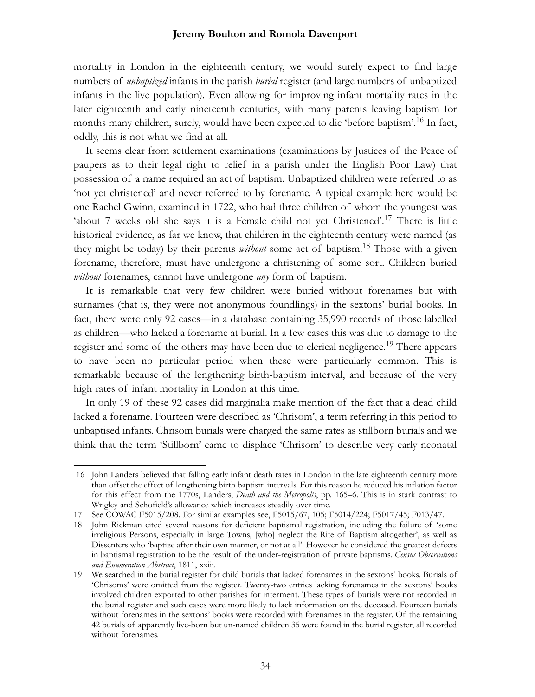mortality in London in the eighteenth century, we would surely expect to find large numbers of *unbaptized* infants in the parish *burial* register (and large numbers of unbaptized infants in the live population). Even allowing for improving infant mortality rates in the later eighteenth and early nineteenth centuries, with many parents leaving baptism for months many children, surely, would have been expected to die 'before baptism'.<sup>16</sup> In fact, oddly, this is not what we find at all.

It seems clear from settlement examinations (examinations by Justices of the Peace of paupers as to their legal right to relief in a parish under the English Poor Law) that possession of a name required an act of baptism. Unbaptized children were referred to as 'not yet christened' and never referred to by forename. A typical example here would be one Rachel Gwinn, examined in 1722, who had three children of whom the youngest was 'about 7 weeks old she says it is a Female child not yet Christened'.<sup>17</sup> There is little historical evidence, as far we know, that children in the eighteenth century were named (as they might be today) by their parents *without* some act of baptism.18 Those with a given forename, therefore, must have undergone a christening of some sort. Children buried *without* forenames, cannot have undergone *any* form of baptism.

It is remarkable that very few children were buried without forenames but with surnames (that is, they were not anonymous foundlings) in the sextons' burial books. In fact, there were only 92 cases—in a database containing 35,990 records of those labelled as children—who lacked a forename at burial. In a few cases this was due to damage to the register and some of the others may have been due to clerical negligence.<sup>19</sup> There appears to have been no particular period when these were particularly common. This is remarkable because of the lengthening birth-baptism interval, and because of the very high rates of infant mortality in London at this time.

In only 19 of these 92 cases did marginalia make mention of the fact that a dead child lacked a forename. Fourteen were described as 'Chrisom', a term referring in this period to unbaptised infants. Chrisom burials were charged the same rates as stillborn burials and we think that the term 'Stillborn' came to displace 'Chrisom' to describe very early neonatal

<sup>16</sup> John Landers believed that falling early infant death rates in London in the late eighteenth century more than offset the effect of lengthening birth baptism intervals. For this reason he reduced his inflation factor for this effect from the 1770s, Landers, *Death and the Metropolis*, pp. 165–6. This is in stark contrast to Wrigley and Schofield's allowance which increases steadily over time.

<sup>17</sup> See COWAC F5015/208. For similar examples see, F5015/67, 105; F5014/224; F5017/45; F013/47.

<sup>18</sup> John Rickman cited several reasons for deficient baptismal registration, including the failure of 'some irreligious Persons, especially in large Towns, [who] neglect the Rite of Baptism altogether', as well as Dissenters who 'baptize after their own manner, or not at all'. However he considered the greatest defects in baptismal registration to be the result of the under-registration of private baptisms. *Census Observations and Enumeration Abstract*, 1811, xxiii.

<sup>19</sup> We searched in the burial register for child burials that lacked forenames in the sextons' books. Burials of 'Chrisoms' were omitted from the register. Twenty-two entries lacking forenames in the sextons' books involved children exported to other parishes for interment. These types of burials were not recorded in the burial register and such cases were more likely to lack information on the deceased. Fourteen burials without forenames in the sextons' books were recorded with forenames in the register. Of the remaining 42 burials of apparently live-born but un-named children 35 were found in the burial register, all recorded without forenames.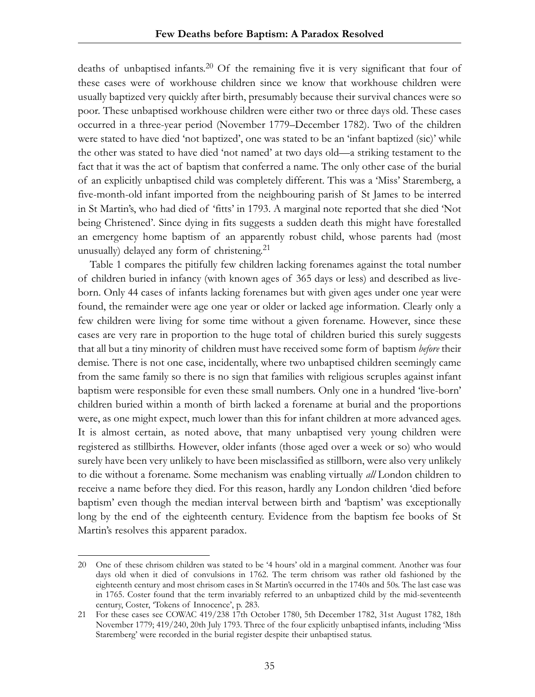deaths of unbaptised infants.<sup>20</sup> Of the remaining five it is very significant that four of these cases were of workhouse children since we know that workhouse children were usually baptized very quickly after birth, presumably because their survival chances were so poor. These unbaptised workhouse children were either two or three days old. These cases occurred in a three-year period (November 1779–December 1782). Two of the children were stated to have died 'not baptized', one was stated to be an 'infant baptized (sic)' while the other was stated to have died 'not named' at two days old—a striking testament to the fact that it was the act of baptism that conferred a name. The only other case of the burial of an explicitly unbaptised child was completely different. This was a 'Miss' Staremberg, a five-month-old infant imported from the neighbouring parish of St James to be interred in St Martin's, who had died of 'fitts' in 1793. A marginal note reported that she died 'Not being Christened'. Since dying in fits suggests a sudden death this might have forestalled an emergency home baptism of an apparently robust child, whose parents had (most unusually) delayed any form of christening.<sup>21</sup>

Table 1 compares the pitifully few children lacking forenames against the total number of children buried in infancy (with known ages of 365 days or less) and described as liveborn. Only 44 cases of infants lacking forenames but with given ages under one year were found, the remainder were age one year or older or lacked age information. Clearly only a few children were living for some time without a given forename. However, since these cases are very rare in proportion to the huge total of children buried this surely suggests that all but a tiny minority of children must have received some form of baptism *before* their demise. There is not one case, incidentally, where two unbaptised children seemingly came from the same family so there is no sign that families with religious scruples against infant baptism were responsible for even these small numbers. Only one in a hundred 'live-born' children buried within a month of birth lacked a forename at burial and the proportions were, as one might expect, much lower than this for infant children at more advanced ages. It is almost certain, as noted above, that many unbaptised very young children were registered as stillbirths. However, older infants (those aged over a week or so) who would surely have been very unlikely to have been misclassified as stillborn, were also very unlikely to die without a forename. Some mechanism was enabling virtually *all* London children to receive a name before they died. For this reason, hardly any London children 'died before baptism' even though the median interval between birth and 'baptism' was exceptionally long by the end of the eighteenth century. Evidence from the baptism fee books of St Martin's resolves this apparent paradox.

<sup>20</sup> One of these chrisom children was stated to be '4 hours' old in a marginal comment. Another was four days old when it died of convulsions in 1762. The term chrisom was rather old fashioned by the eighteenth century and most chrisom cases in St Martin's occurred in the 1740s and 50s. The last case was in 1765. Coster found that the term invariably referred to an unbaptized child by the mid-seventeenth century, Coster, 'Tokens of Innocence', p. 283.

<sup>21</sup> For these cases see COWAC 419/238 17th October 1780, 5th December 1782, 31st August 1782, 18th November 1779; 419/240, 20th July 1793. Three of the four explicitly unbaptised infants, including 'Miss Staremberg' were recorded in the burial register despite their unbaptised status.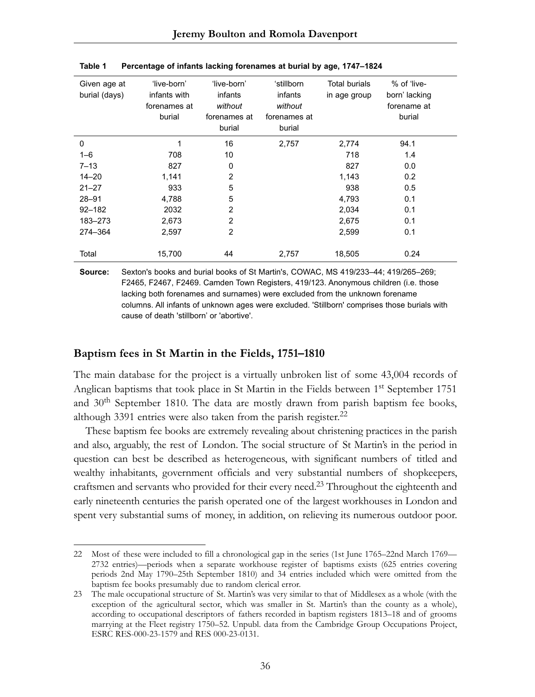| Given age at<br>burial (days) | 'live-born'<br>infants with<br>forenames at<br>burial | 'live-born'<br>infants<br>without<br>forenames at<br>burial | 'stillborn<br>infants<br>without<br>forenames at<br>burial | Total burials<br>in age group | % of 'live-<br>born' lacking<br>forename at<br>burial |
|-------------------------------|-------------------------------------------------------|-------------------------------------------------------------|------------------------------------------------------------|-------------------------------|-------------------------------------------------------|
| 0                             | 1                                                     | 16                                                          | 2,757                                                      | 2,774                         | 94.1                                                  |
| $1 - 6$                       | 708                                                   | 10                                                          |                                                            | 718                           | 1.4                                                   |
| $7 - 13$                      | 827                                                   | $\mathbf 0$                                                 |                                                            | 827                           | 0.0                                                   |
| $14 - 20$                     | 1,141                                                 | $\overline{2}$                                              |                                                            | 1,143                         | 0.2                                                   |
| $21 - 27$                     | 933                                                   | 5                                                           |                                                            | 938                           | 0.5                                                   |
| $28 - 91$                     | 4,788                                                 | 5                                                           |                                                            | 4,793                         | 0.1                                                   |
| $92 - 182$                    | 2032                                                  | $\overline{2}$                                              |                                                            | 2,034                         | 0.1                                                   |
| 183-273                       | 2,673                                                 | $\overline{2}$                                              |                                                            | 2,675                         | 0.1                                                   |
| 274-364                       | 2,597                                                 | $\overline{2}$                                              |                                                            | 2,599                         | 0.1                                                   |
| Total                         | 15,700                                                | 44                                                          | 2.757                                                      | 18,505                        | 0.24                                                  |

**Table 1 Percentage of infants lacking forenames at burial by age, 1747–1824**

**Source:** Sexton's books and burial books of St Martin's, COWAC, MS 419/233–44; 419/265–269; F2465, F2467, F2469. Camden Town Registers, 419/123. Anonymous children (i.e. those lacking both forenames and surnames) were excluded from the unknown forename columns. All infants of unknown ages were excluded. 'Stillborn' comprises those burials with cause of death 'stillborn' or 'abortive'.

### **Baptism fees in St Martin in the Fields, 1751–1810**

The main database for the project is a virtually unbroken list of some 43,004 records of Anglican baptisms that took place in St Martin in the Fields between  $1<sup>st</sup>$  September 1751 and  $30<sup>th</sup>$  September 1810. The data are mostly drawn from parish baptism fee books, although 3391 entries were also taken from the parish register. $^{22}$ 

These baptism fee books are extremely revealing about christening practices in the parish and also, arguably, the rest of London. The social structure of St Martin's in the period in question can best be described as heterogeneous, with significant numbers of titled and wealthy inhabitants, government officials and very substantial numbers of shopkeepers, craftsmen and servants who provided for their every need.23 Throughout the eighteenth and early nineteenth centuries the parish operated one of the largest workhouses in London and spent very substantial sums of money, in addition, on relieving its numerous outdoor poor.

<sup>22</sup> Most of these were included to fill a chronological gap in the series (1st June 1765–22nd March 1769— 2732 entries)—periods when a separate workhouse register of baptisms exists (625 entries covering periods 2nd May 1790–25th September 1810) and 34 entries included which were omitted from the baptism fee books presumably due to random clerical error.

<sup>23</sup> The male occupational structure of St. Martin's was very similar to that of Middlesex as a whole (with the exception of the agricultural sector, which was smaller in St. Martin's than the county as a whole), according to occupational descriptors of fathers recorded in baptism registers 1813–18 and of grooms marrying at the Fleet registry 1750–52. Unpubl. data from the Cambridge Group Occupations Project, ESRC RES-000-23-1579 and RES 000-23-0131.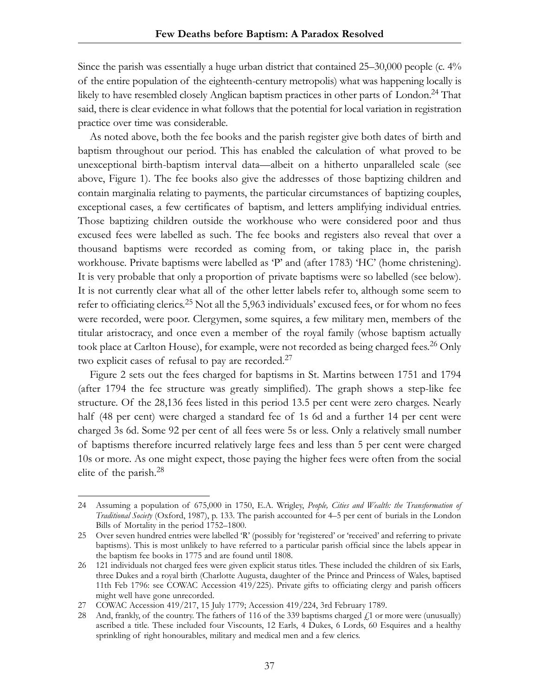Since the parish was essentially a huge urban district that contained 25–30,000 people (c. 4% of the entire population of the eighteenth-century metropolis) what was happening locally is likely to have resembled closely Anglican baptism practices in other parts of London.24 That said, there is clear evidence in what follows that the potential for local variation in registration practice over time was considerable.

As noted above, both the fee books and the parish register give both dates of birth and baptism throughout our period. This has enabled the calculation of what proved to be unexceptional birth-baptism interval data—albeit on a hitherto unparalleled scale (see above, Figure 1). The fee books also give the addresses of those baptizing children and contain marginalia relating to payments, the particular circumstances of baptizing couples, exceptional cases, a few certificates of baptism, and letters amplifying individual entries. Those baptizing children outside the workhouse who were considered poor and thus excused fees were labelled as such. The fee books and registers also reveal that over a thousand baptisms were recorded as coming from, or taking place in, the parish workhouse. Private baptisms were labelled as 'P' and (after 1783) 'HC' (home christening). It is very probable that only a proportion of private baptisms were so labelled (see below). It is not currently clear what all of the other letter labels refer to, although some seem to refer to officiating clerics.<sup>25</sup> Not all the 5,963 individuals' excused fees, or for whom no fees were recorded, were poor. Clergymen, some squires, a few military men, members of the titular aristocracy, and once even a member of the royal family (whose baptism actually took place at Carlton House), for example, were not recorded as being charged fees.<sup>26</sup> Only two explicit cases of refusal to pay are recorded.<sup>27</sup>

Figure 2 sets out the fees charged for baptisms in St. Martins between 1751 and 1794 (after 1794 the fee structure was greatly simplified). The graph shows a step-like fee structure. Of the 28,136 fees listed in this period 13.5 per cent were zero charges. Nearly half (48 per cent) were charged a standard fee of 1s 6d and a further 14 per cent were charged 3s 6d. Some 92 per cent of all fees were 5s or less. Only a relatively small number of baptisms therefore incurred relatively large fees and less than 5 per cent were charged 10s or more. As one might expect, those paying the higher fees were often from the social elite of the parish.<sup>28</sup>

<sup>24</sup> Assuming a population of 675,000 in 1750, E.A. Wrigley, *People, Cities and Wealth: the Transformation of Traditional Society* (Oxford, 1987), p. 133. The parish accounted for 4–5 per cent of burials in the London Bills of Mortality in the period 1752–1800.

<sup>25</sup> Over seven hundred entries were labelled 'R' (possibly for 'registered' or 'received' and referring to private baptisms). This is most unlikely to have referred to a particular parish official since the labels appear in the baptism fee books in 1775 and are found until 1808.

<sup>26 121</sup> individuals not charged fees were given explicit status titles. These included the children of six Earls, three Dukes and a royal birth (Charlotte Augusta, daughter of the Prince and Princess of Wales, baptised 11th Feb 1796: see COWAC Accession 419/225). Private gifts to officiating clergy and parish officers might well have gone unrecorded.

<sup>27</sup> COWAC Accession 419/217, 15 July 1779; Accession 419/224, 3rd February 1789.

<sup>28</sup> And, frankly, of the country. The fathers of 116 of the 339 baptisms charged  $f_1$  or more were (unusually) ascribed a title. These included four Viscounts, 12 Earls, 4 Dukes, 6 Lords, 60 Esquires and a healthy sprinkling of right honourables, military and medical men and a few clerics.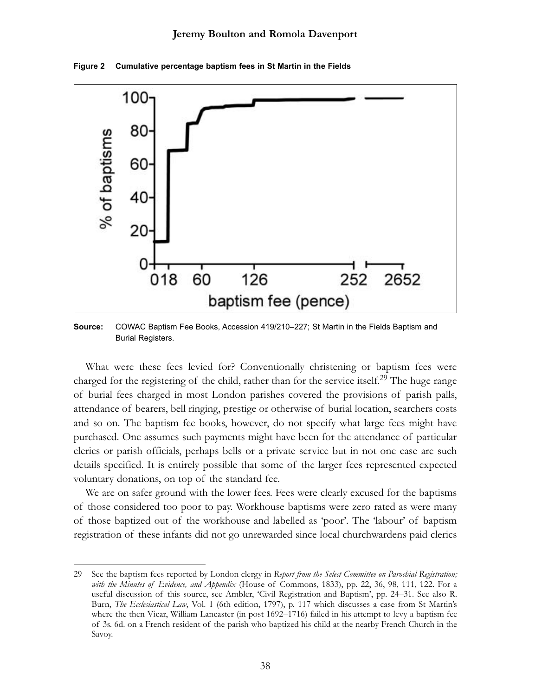

**Figure 2 Cumulative percentage baptism fees in St Martin in the Fields**

**Source:** COWAC Baptism Fee Books, Accession 419/210–227; St Martin in the Fields Baptism and Burial Registers.

What were these fees levied for? Conventionally christening or baptism fees were charged for the registering of the child, rather than for the service itself.<sup>29</sup> The huge range of burial fees charged in most London parishes covered the provisions of parish palls, attendance of bearers, bell ringing, prestige or otherwise of burial location, searchers costs and so on. The baptism fee books, however, do not specify what large fees might have purchased. One assumes such payments might have been for the attendance of particular clerics or parish officials, perhaps bells or a private service but in not one case are such details specified. It is entirely possible that some of the larger fees represented expected voluntary donations, on top of the standard fee.

We are on safer ground with the lower fees. Fees were clearly excused for the baptisms of those considered too poor to pay. Workhouse baptisms were zero rated as were many of those baptized out of the workhouse and labelled as 'poor'. The 'labour' of baptism registration of these infants did not go unrewarded since local churchwardens paid clerics

<sup>29</sup> See the baptism fees reported by London clergy in *Report from the Select Committee on Parochial Registration; with the Minutes of Evidence, and Appendix* (House of Commons, 1833), pp. 22, 36, 98, 111, 122. For a useful discussion of this source, see Ambler, 'Civil Registration and Baptism', pp. 24–31. See also R. Burn, *The Ecclesiastical Law*, Vol. 1 (6th edition, 1797), p. 117 which discusses a case from St Martin's where the then Vicar, William Lancaster (in post 1692–1716) failed in his attempt to levy a baptism fee of 3s. 6d. on a French resident of the parish who baptized his child at the nearby French Church in the Savoy.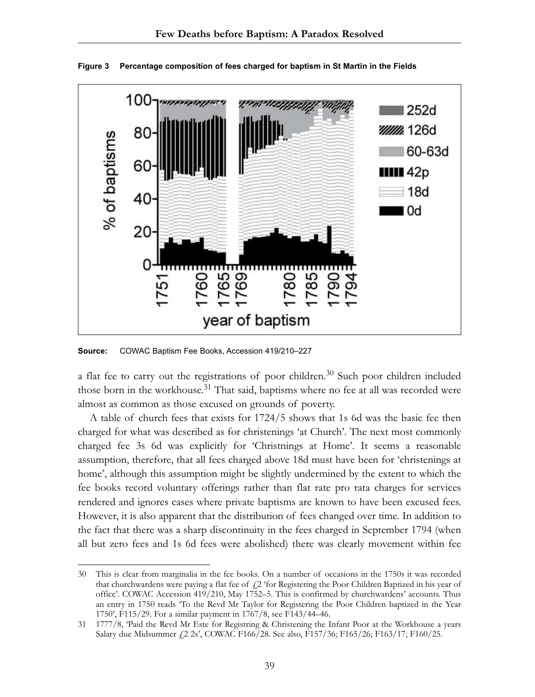

**Figure 3 Percentage composition of fees charged for baptism in St Martin in the Fields**

**Source:** COWAC Baptism Fee Books, Accession 419/210–227

a flat fee to carry out the registrations of poor children.<sup>30</sup> Such poor children included those born in the workhouse.<sup>31</sup> That said, baptisms where no fee at all was recorded were almost as common as those excused on grounds of poverty.

A table of church fees that exists for 1724/5 shows that 1s 6d was the basic fee then charged for what was described as for christenings 'at Church'. The next most commonly charged fee 3s 6d was explicitly for 'Christnings at Home'. It seems a reasonable assumption, therefore, that all fees charged above 18d must have been for 'christenings at home', although this assumption might be slightly undermined by the extent to which the fee books record voluntary offerings rather than flat rate pro rata charges for services rendered and ignores cases where private baptisms are known to have been excused fees. However, it is also apparent that the distribution of fees changed over time. In addition to the fact that there was a sharp discontinuity in the fees charged in September 1794 (when all but zero fees and 1s 6d fees were abolished) there was clearly movement within fee

<sup>30</sup> This is clear from marginalia in the fee books. On a number of occasions in the 1750s it was recorded that churchwardens were paying a flat fee of  $\ell$ 2 'for Registering the Poor Children Baptized in his year of office'. COWAC Accession 419/210, May 1752–5. This is confirmed by churchwardens' accounts. Thus an entry in 1750 reads 'To the Revd Mr Taylor for Registering the Poor Children baptized in the Year 1750', F115/29. For a similar payment in 1767/8, see F143/44–46.

<sup>31 1777/8,</sup> 'Paid the Revd Mr Este for Registring & Christening the Infant Poor at the Workhouse a years Salary due Midsummer £2 2s', COWAC F166/28. See also, F157/36; F165/26; F163/17; F160/25.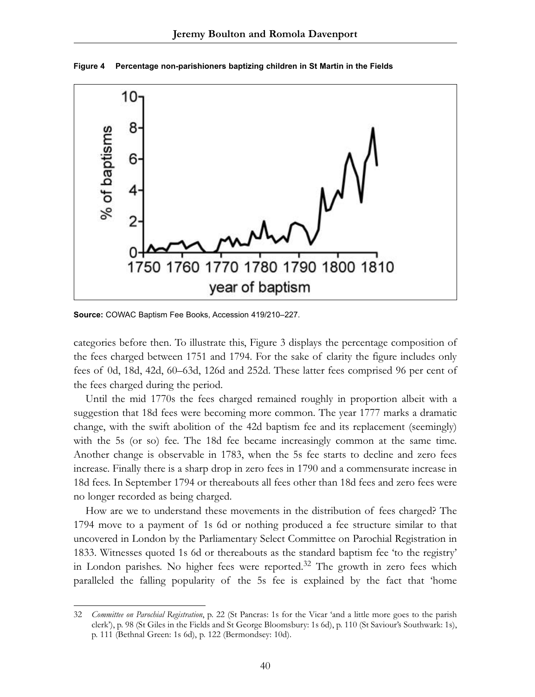

**Figure 4 Percentage non-parishioners baptizing children in St Martin in the Fields**

**Source:** COWAC Baptism Fee Books, Accession 419/210–227.

categories before then. To illustrate this, Figure 3 displays the percentage composition of the fees charged between 1751 and 1794. For the sake of clarity the figure includes only fees of 0d, 18d, 42d, 60–63d, 126d and 252d. These latter fees comprised 96 per cent of the fees charged during the period.

Until the mid 1770s the fees charged remained roughly in proportion albeit with a suggestion that 18d fees were becoming more common. The year 1777 marks a dramatic change, with the swift abolition of the 42d baptism fee and its replacement (seemingly) with the 5s (or so) fee. The 18d fee became increasingly common at the same time. Another change is observable in 1783, when the 5s fee starts to decline and zero fees increase. Finally there is a sharp drop in zero fees in 1790 and a commensurate increase in 18d fees. In September 1794 or thereabouts all fees other than 18d fees and zero fees were no longer recorded as being charged.

How are we to understand these movements in the distribution of fees charged? The 1794 move to a payment of 1s 6d or nothing produced a fee structure similar to that uncovered in London by the Parliamentary Select Committee on Parochial Registration in 1833. Witnesses quoted 1s 6d or thereabouts as the standard baptism fee 'to the registry' in London parishes. No higher fees were reported. $32$  The growth in zero fees which paralleled the falling popularity of the 5s fee is explained by the fact that 'home

<sup>32</sup> *Committee on Parochial Registration*, p. 22 (St Pancras: 1s for the Vicar 'and a little more goes to the parish clerk'), p. 98 (St Giles in the Fields and St George Bloomsbury: 1s 6d), p. 110 (St Saviour's Southwark: 1s), p. 111 (Bethnal Green: 1s 6d), p. 122 (Bermondsey: 10d).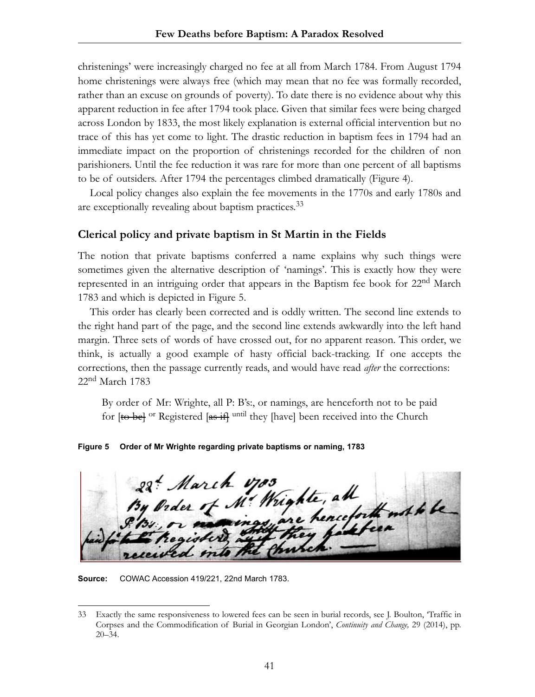christenings' were increasingly charged no fee at all from March 1784. From August 1794 home christenings were always free (which may mean that no fee was formally recorded, rather than an excuse on grounds of poverty). To date there is no evidence about why this apparent reduction in fee after 1794 took place. Given that similar fees were being charged across London by 1833, the most likely explanation is external official intervention but no trace of this has yet come to light. The drastic reduction in baptism fees in 1794 had an immediate impact on the proportion of christenings recorded for the children of non parishioners. Until the fee reduction it was rare for more than one percent of all baptisms to be of outsiders. After 1794 the percentages climbed dramatically (Figure 4).

Local policy changes also explain the fee movements in the 1770s and early 1780s and are exceptionally revealing about baptism practices.<sup>33</sup>

### **Clerical policy and private baptism in St Martin in the Fields**

The notion that private baptisms conferred a name explains why such things were sometimes given the alternative description of 'namings'. This is exactly how they were represented in an intriguing order that appears in the Baptism fee book for 22<sup>nd</sup> March 1783 and which is depicted in Figure 5.

This order has clearly been corrected and is oddly written. The second line extends to the right hand part of the page, and the second line extends awkwardly into the left hand margin. Three sets of words of have crossed out, for no apparent reason. This order, we think, is actually a good example of hasty official back-tracking. If one accepts the corrections, then the passage currently reads, and would have read *after* the corrections: 22<sup>nd</sup> March 1783

By order of Mr: Wrighte, all P: B's:, or namings, are henceforth not to be paid for [to be]<sup>or</sup> Registered [as if] <sup>until</sup> they [have] been received into the Church

**Figure 5 Order of Mr Wrighte regarding private baptisms or naming, 1783**

22 March 1703<br>By Order of M. Wrighte, all Me Wrighte, all

**Source:** COWAC Accession 419/221, 22nd March 1783.

<sup>33</sup> Exactly the same responsiveness to lowered fees can be seen in burial records, see J. Boulton, 'Traffic in Corpses and the Commodification of Burial in Georgian London', *Continuity and Change,* 29 (2014), pp. 20–34.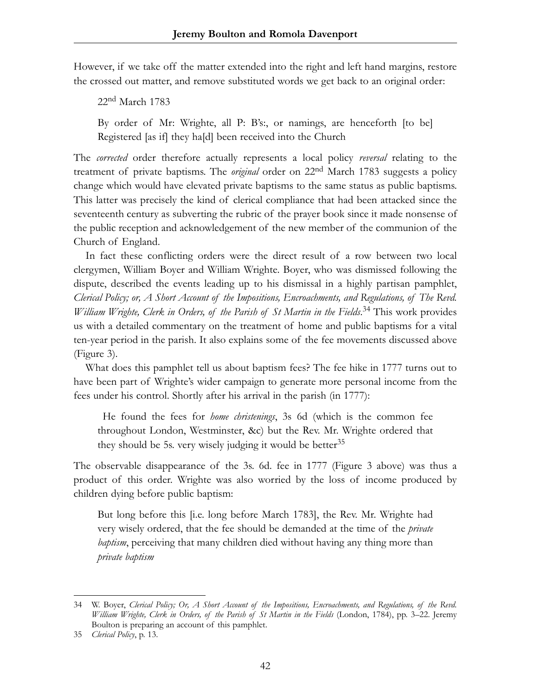However, if we take off the matter extended into the right and left hand margins, restore the crossed out matter, and remove substituted words we get back to an original order:

22nd March 1783

By order of Mr: Wrighte, all P: B's:, or namings, are henceforth [to be] Registered [as if] they ha[d] been received into the Church

The *corrected* order therefore actually represents a local policy *reversal* relating to the treatment of private baptisms. The *original* order on 22nd March 1783 suggests a policy change which would have elevated private baptisms to the same status as public baptisms. This latter was precisely the kind of clerical compliance that had been attacked since the seventeenth century as subverting the rubric of the prayer book since it made nonsense of the public reception and acknowledgement of the new member of the communion of the Church of England.

In fact these conflicting orders were the direct result of a row between two local clergymen, William Boyer and William Wrighte. Boyer, who was dismissed following the dispute, described the events leading up to his dismissal in a highly partisan pamphlet, *Clerical Policy; or, A Short Account of the Impositions, Encroachments, and Regulations, of The Revd.* William Wrighte, Clerk in Orders, of the Parish of St Martin in the Fields.<sup>34</sup> This work provides us with a detailed commentary on the treatment of home and public baptisms for a vital ten-year period in the parish. It also explains some of the fee movements discussed above (Figure 3).

What does this pamphlet tell us about baptism fees? The fee hike in 1777 turns out to have been part of Wrighte's wider campaign to generate more personal income from the fees under his control. Shortly after his arrival in the parish (in 1777):

He found the fees for *home christenings*, 3s 6d (which is the common fee throughout London, Westminster, &c) but the Rev. Mr. Wrighte ordered that they should be 5s. very wisely judging it would be better<sup>35</sup>

The observable disappearance of the 3s. 6d. fee in 1777 (Figure 3 above) was thus a product of this order. Wrighte was also worried by the loss of income produced by children dying before public baptism:

But long before this [i.e. long before March 1783], the Rev. Mr. Wrighte had very wisely ordered, that the fee should be demanded at the time of the *private baptism*, perceiving that many children died without having any thing more than *private baptism*

<sup>34</sup> W. Boyer, *Clerical Policy; Or, A Short Account of the Impositions, Encroachments, and Regulations, of the Revd. William Wrighte, Clerk in Orders, of the Parish of St Martin in the Fields* (London, 1784), pp. 3–22. Jeremy Boulton is preparing an account of this pamphlet.

<sup>35</sup> *Clerical Policy*, p. 13.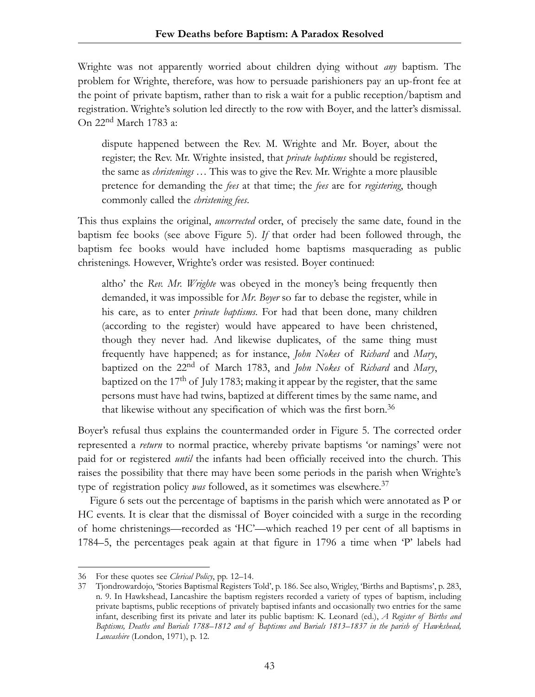Wrighte was not apparently worried about children dying without *any* baptism. The problem for Wrighte, therefore, was how to persuade parishioners pay an up-front fee at the point of private baptism, rather than to risk a wait for a public reception/baptism and registration. Wrighte's solution led directly to the row with Boyer, and the latter's dismissal. On 22nd March 1783 a:

dispute happened between the Rev. M. Wrighte and Mr. Boyer, about the register; the Rev. Mr. Wrighte insisted, that *private baptisms* should be registered, the same as *christenings* … This was to give the Rev. Mr. Wrighte a more plausible pretence for demanding the *fees* at that time; the *fees* are for *registering*, though commonly called the *christening fees*.

This thus explains the original, *uncorrected* order, of precisely the same date, found in the baptism fee books (see above Figure 5). *If* that order had been followed through, the baptism fee books would have included home baptisms masquerading as public christenings. However, Wrighte's order was resisted. Boyer continued:

altho' the *Rev. Mr. Wrighte* was obeyed in the money's being frequently then demanded, it was impossible for *Mr. Boyer* so far to debase the register, while in his care, as to enter *private baptisms*. For had that been done, many children (according to the register) would have appeared to have been christened, though they never had. And likewise duplicates, of the same thing must frequently have happened; as for instance, *John Nokes* of *Richard* and *Mary*, baptized on the 22nd of March 1783, and *John Nokes* of *Richard* and *Mary*, baptized on the  $17<sup>th</sup>$  of July 1783; making it appear by the register, that the same persons must have had twins, baptized at different times by the same name, and that likewise without any specification of which was the first born.<sup>36</sup>

Boyer's refusal thus explains the countermanded order in Figure 5. The corrected order represented a *return* to normal practice, whereby private baptisms 'or namings' were not paid for or registered *until* the infants had been officially received into the church. This raises the possibility that there may have been some periods in the parish when Wrighte's type of registration policy *was* followed, as it sometimes was elsewhere.<sup>37</sup>

Figure 6 sets out the percentage of baptisms in the parish which were annotated as P or HC events. It is clear that the dismissal of Boyer coincided with a surge in the recording of home christenings—recorded as 'HC'—which reached 19 per cent of all baptisms in 1784–5, the percentages peak again at that figure in 1796 a time when 'P' labels had

<sup>36</sup> For these quotes see *Clerical Policy*, pp. 12–14.

<sup>37</sup> Tjondrowardojo, 'Stories Baptismal Registers Told', p. 186. See also, Wrigley, 'Births and Baptisms', p. 283, n. 9. In Hawkshead, Lancashire the baptism registers recorded a variety of types of baptism, including private baptisms, public receptions of privately baptised infants and occasionally two entries for the same infant, describing first its private and later its public baptism: K. Leonard (ed.), *A Register of Births and Baptisms, Deaths and Burials 1788–1812 and of Baptisms and Burials 1813–1837 in the parish of Hawkshead, Lancashire* (London, 1971), p. 12.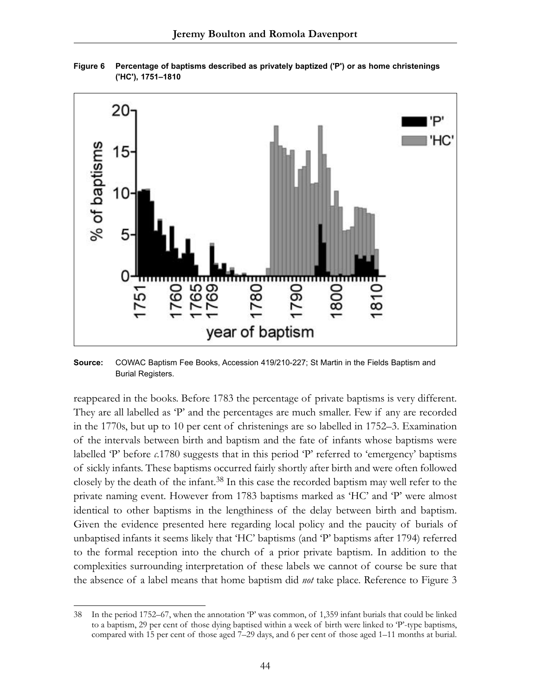

**Figure 6 Percentage of baptisms described as privately baptized ('P') or as home christenings ('HC'), 1751–1810**

**Source:** COWAC Baptism Fee Books, Accession 419/210-227; St Martin in the Fields Baptism and Burial Registers.

reappeared in the books. Before 1783 the percentage of private baptisms is very different. They are all labelled as 'P' and the percentages are much smaller. Few if any are recorded in the 1770s, but up to 10 per cent of christenings are so labelled in 1752–3. Examination of the intervals between birth and baptism and the fate of infants whose baptisms were labelled 'P' before *c*.1780 suggests that in this period 'P' referred to 'emergency' baptisms of sickly infants. These baptisms occurred fairly shortly after birth and were often followed closely by the death of the infant.<sup>38</sup> In this case the recorded baptism may well refer to the private naming event. However from 1783 baptisms marked as 'HC' and 'P' were almost identical to other baptisms in the lengthiness of the delay between birth and baptism. Given the evidence presented here regarding local policy and the paucity of burials of unbaptised infants it seems likely that 'HC' baptisms (and 'P' baptisms after 1794) referred to the formal reception into the church of a prior private baptism. In addition to the complexities surrounding interpretation of these labels we cannot of course be sure that the absence of a label means that home baptism did *not* take place. Reference to Figure 3

<sup>38</sup> In the period 1752–67, when the annotation 'P' was common, of 1,359 infant burials that could be linked to a baptism, 29 per cent of those dying baptised within a week of birth were linked to 'P'-type baptisms, compared with 15 per cent of those aged 7–29 days, and 6 per cent of those aged 1–11 months at burial.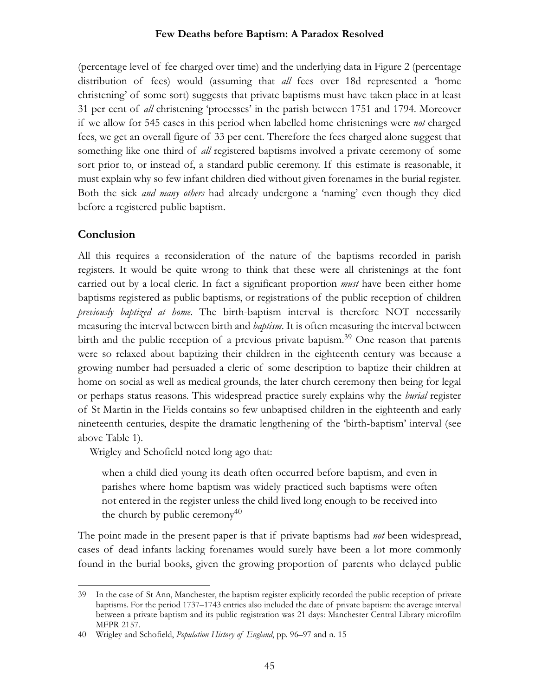(percentage level of fee charged over time) and the underlying data in Figure 2 (percentage distribution of fees) would (assuming that *all* fees over 18d represented a 'home christening' of some sort) suggests that private baptisms must have taken place in at least 31 per cent of *all* christening 'processes' in the parish between 1751 and 1794. Moreover if we allow for 545 cases in this period when labelled home christenings were *not* charged fees, we get an overall figure of 33 per cent. Therefore the fees charged alone suggest that something like one third of *all* registered baptisms involved a private ceremony of some sort prior to, or instead of, a standard public ceremony. If this estimate is reasonable, it must explain why so few infant children died without given forenames in the burial register. Both the sick *and many others* had already undergone a 'naming' even though they died before a registered public baptism.

# **Conclusion**

All this requires a reconsideration of the nature of the baptisms recorded in parish registers. It would be quite wrong to think that these were all christenings at the font carried out by a local cleric. In fact a significant proportion *must* have been either home baptisms registered as public baptisms, or registrations of the public reception of children *previously baptized at home*. The birth-baptism interval is therefore NOT necessarily measuring the interval between birth and *baptism*. It is often measuring the interval between birth and the public reception of a previous private baptism.<sup>39</sup> One reason that parents were so relaxed about baptizing their children in the eighteenth century was because a growing number had persuaded a cleric of some description to baptize their children at home on social as well as medical grounds, the later church ceremony then being for legal or perhaps status reasons. This widespread practice surely explains why the *burial* register of St Martin in the Fields contains so few unbaptised children in the eighteenth and early nineteenth centuries, despite the dramatic lengthening of the 'birth-baptism' interval (see above Table 1).

Wrigley and Schofield noted long ago that:

when a child died young its death often occurred before baptism, and even in parishes where home baptism was widely practiced such baptisms were often not entered in the register unless the child lived long enough to be received into the church by public ceremony<sup>40</sup>

The point made in the present paper is that if private baptisms had *not* been widespread, cases of dead infants lacking forenames would surely have been a lot more commonly found in the burial books, given the growing proportion of parents who delayed public

<sup>39</sup> In the case of St Ann, Manchester, the baptism register explicitly recorded the public reception of private baptisms. For the period 1737–1743 entries also included the date of private baptism: the average interval between a private baptism and its public registration was 21 days: Manchester Central Library microfilm MFPR 2157.

<sup>40</sup> Wrigley and Schofield, *Population History of England*, pp. 96–97 and n. 15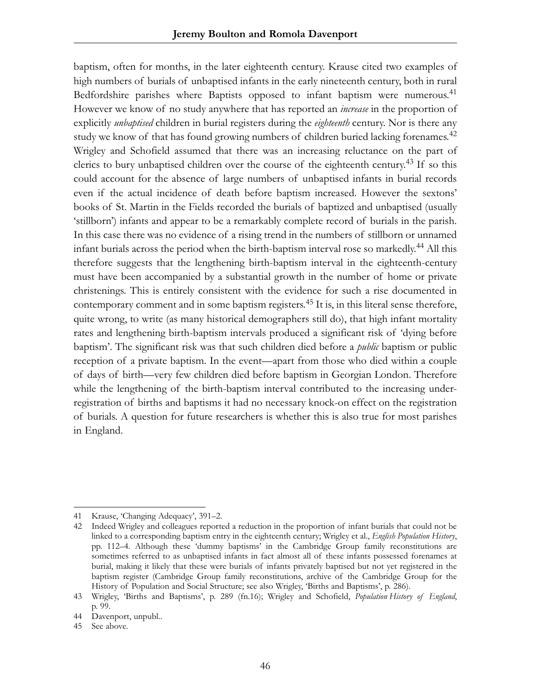baptism, often for months, in the later eighteenth century. Krause cited two examples of high numbers of burials of unbaptised infants in the early nineteenth century, both in rural Bedfordshire parishes where Baptists opposed to infant baptism were numerous.<sup>41</sup> However we know of no study anywhere that has reported an *increase* in the proportion of explicitly *unbaptised* children in burial registers during the *eighteenth* century. Nor is there any study we know of that has found growing numbers of children buried lacking forenames.<sup>42</sup> Wrigley and Schofield assumed that there was an increasing reluctance on the part of clerics to bury unbaptised children over the course of the eighteenth century.<sup>43</sup> If so this could account for the absence of large numbers of unbaptised infants in burial records even if the actual incidence of death before baptism increased. However the sextons' books of St. Martin in the Fields recorded the burials of baptized and unbaptised (usually 'stillborn') infants and appear to be a remarkably complete record of burials in the parish. In this case there was no evidence of a rising trend in the numbers of stillborn or unnamed infant burials across the period when the birth-baptism interval rose so markedly.<sup>44</sup> All this therefore suggests that the lengthening birth-baptism interval in the eighteenth-century must have been accompanied by a substantial growth in the number of home or private christenings. This is entirely consistent with the evidence for such a rise documented in contemporary comment and in some baptism registers.<sup>45</sup> It is, in this literal sense therefore, quite wrong, to write (as many historical demographers still do), that high infant mortality rates and lengthening birth-baptism intervals produced a significant risk of 'dying before baptism'. The significant risk was that such children died before a *public* baptism or public reception of a private baptism. In the event—apart from those who died within a couple of days of birth—very few children died before baptism in Georgian London. Therefore while the lengthening of the birth-baptism interval contributed to the increasing underregistration of births and baptisms it had no necessary knock-on effect on the registration of burials. A question for future researchers is whether this is also true for most parishes in England.

<sup>41</sup> Krause, 'Changing Adequacy', 391–2.

<sup>42</sup> Indeed Wrigley and colleagues reported a reduction in the proportion of infant burials that could not be linked to a corresponding baptism entry in the eighteenth century; Wrigley et al., *English Population History*, pp. 112–4. Although these 'dummy baptisms' in the Cambridge Group family reconstitutions are sometimes referred to as unbaptised infants in fact almost all of these infants possessed forenames at burial, making it likely that these were burials of infants privately baptised but not yet registered in the baptism register (Cambridge Group family reconstitutions, archive of the Cambridge Group for the History of Population and Social Structure; see also Wrigley, 'Births and Baptisms', p. 286).

<sup>43</sup> Wrigley, 'Births and Baptisms', p. 289 (fn.16); Wrigley and Schofield, *Population History of England*, p. 99.

<sup>44</sup> Davenport, unpubl..

<sup>45</sup> See above.